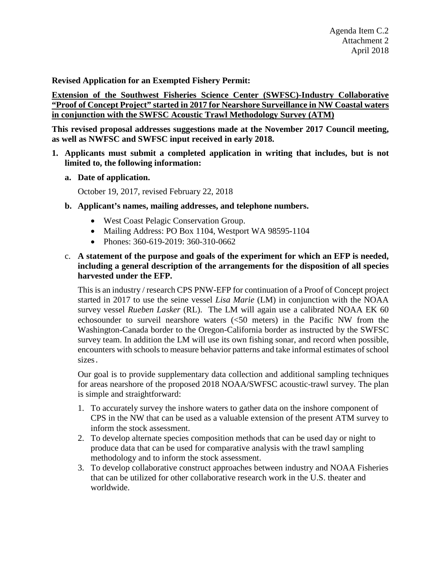**Revised Application for an Exempted Fishery Permit:** 

**Extension of the Southwest Fisheries Science Center (SWFSC)-Industry Collaborative "Proof of Concept Project" started in 2017 for Nearshore Surveillance in NW Coastal waters in conjunction with the SWFSC Acoustic Trawl Methodology Survey (ATM)** 

**This revised proposal addresses suggestions made at the November 2017 Council meeting, as well as NWFSC and SWFSC input received in early 2018.**

- **1. Applicants must submit a completed application in writing that includes, but is not limited to, the following information:**
	- **a. Date of application.**

October 19, 2017, revised February 22, 2018

- **b. Applicant's names, mailing addresses, and telephone numbers.**
	- West Coast Pelagic Conservation Group.
	- Mailing Address: PO Box 1104, Westport WA 98595-1104
	- Phones: 360-619-2019: 360-310-0662
- c. **A statement of the purpose and goals of the experiment for which an EFP is needed, including a general description of the arrangements for the disposition of all species harvested under the EFP.**

This is an industry / research CPS PNW-EFP for continuation of a Proof of Concept project started in 2017 to use the seine vessel *Lisa Marie* (LM) in conjunction with the NOAA survey vessel *Rueben Lasker* (RL). The LM will again use a calibrated NOAA EK 60 echosounder to surveil nearshore waters (<50 meters) in the Pacific NW from the Washington-Canada border to the Oregon-California border as instructed by the SWFSC survey team. In addition the LM will use its own fishing sonar, and record when possible, encounters with schools to measure behavior patterns and take informal estimates of school sizes.

Our goal is to provide supplementary data collection and additional sampling techniques for areas nearshore of the proposed 2018 NOAA/SWFSC acoustic-trawl survey. The plan is simple and straightforward:

- 1. To accurately survey the inshore waters to gather data on the inshore component of CPS in the NW that can be used as a valuable extension of the present ATM survey to inform the stock assessment.
- 2. To develop alternate species composition methods that can be used day or night to produce data that can be used for comparative analysis with the trawl sampling methodology and to inform the stock assessment.
- 3. To develop collaborative construct approaches between industry and NOAA Fisheries that can be utilized for other collaborative research work in the U.S. theater and worldwide.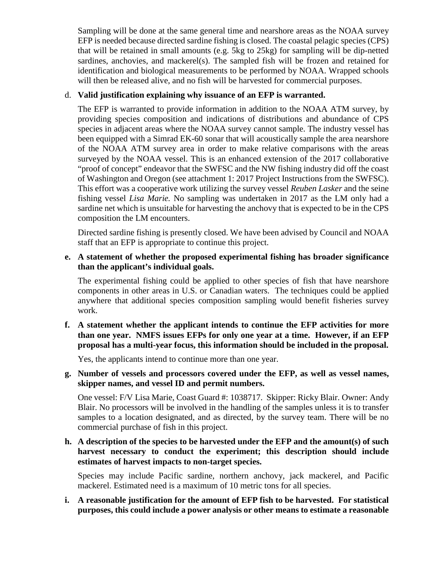Sampling will be done at the same general time and nearshore areas as the NOAA survey EFP is needed because directed sardine fishing is closed. The coastal pelagic species (CPS) that will be retained in small amounts (e.g. 5kg to 25kg) for sampling will be dip-netted sardines, anchovies, and mackerel(s). The sampled fish will be frozen and retained for identification and biological measurements to be performed by NOAA. Wrapped schools will then be released alive, and no fish will be harvested for commercial purposes.

# d. **Valid justification explaining why issuance of an EFP is warranted.**

The EFP is warranted to provide information in addition to the NOAA ATM survey, by providing species composition and indications of distributions and abundance of CPS species in adjacent areas where the NOAA survey cannot sample. The industry vessel has been equipped with a Simrad EK-60 sonar that will acoustically sample the area nearshore of the NOAA ATM survey area in order to make relative comparisons with the areas surveyed by the NOAA vessel. This is an enhanced extension of the 2017 collaborative "proof of concept" endeavor that the SWFSC and the NW fishing industry did off the coast of Washington and Oregon (see attachment 1: 2017 Project Instructions from the SWFSC). This effort was a cooperative work utilizing the survey vessel *Reuben Lasker* and the seine fishing vessel *Lisa Marie.* No sampling was undertaken in 2017 as the LM only had a sardine net which is unsuitable for harvesting the anchovy that is expected to be in the CPS composition the LM encounters.

Directed sardine fishing is presently closed. We have been advised by Council and NOAA staff that an EFP is appropriate to continue this project.

## **e. A statement of whether the proposed experimental fishing has broader significance than the applicant's individual goals.**

The experimental fishing could be applied to other species of fish that have nearshore components in other areas in U.S. or Canadian waters. The techniques could be applied anywhere that additional species composition sampling would benefit fisheries survey work.

**f. A statement whether the applicant intends to continue the EFP activities for more than one year. NMFS issues EFPs for only one year at a time. However, if an EFP proposal has a multi-year focus, this information should be included in the proposal.**

Yes, the applicants intend to continue more than one year.

# **g. Number of vessels and processors covered under the EFP, as well as vessel names, skipper names, and vessel ID and permit numbers.**

One vessel: F/V Lisa Marie, Coast Guard #: 1038717. Skipper: Ricky Blair. Owner: Andy Blair. No processors will be involved in the handling of the samples unless it is to transfer samples to a location designated, and as directed, by the survey team. There will be no commercial purchase of fish in this project.

## **h. A description of the species to be harvested under the EFP and the amount(s) of such harvest necessary to conduct the experiment; this description should include estimates of harvest impacts to non-target species.**

Species may include Pacific sardine, northern anchovy, jack mackerel, and Pacific mackerel. Estimated need is a maximum of 10 metric tons for all species.

## **i. A reasonable justification for the amount of EFP fish to be harvested. For statistical purposes, this could include a power analysis or other means to estimate a reasonable**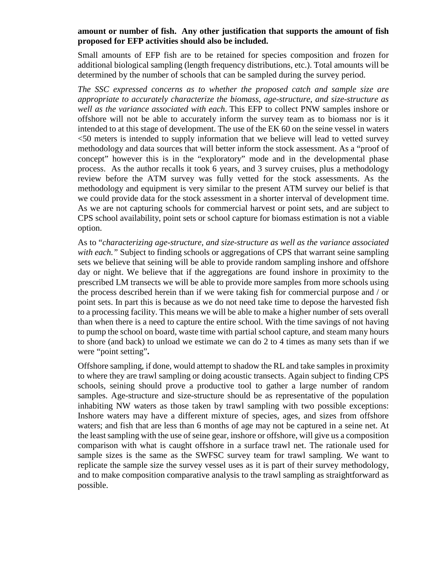### **amount or number of fish. Any other justification that supports the amount of fish proposed for EFP activities should also be included.**

Small amounts of EFP fish are to be retained for species composition and frozen for additional biological sampling (length frequency distributions, etc.). Total amounts will be determined by the number of schools that can be sampled during the survey period.

*The SSC expressed concerns as to whether the proposed catch and sample size are appropriate to accurately characterize the biomass, age-structure, and size-structure as well as the variance associated with each*. This EFP to collect PNW samples inshore or offshore will not be able to accurately inform the survey team as to biomass nor is it intended to at this stage of development. The use of the EK 60 on the seine vessel in waters <50 meters is intended to supply information that we believe will lead to vetted survey methodology and data sources that will better inform the stock assessment. As a "proof of concept" however this is in the "exploratory" mode and in the developmental phase process. As the author recalls it took 6 years, and 3 survey cruises, plus a methodology review before the ATM survey was fully vetted for the stock assessments. As the methodology and equipment is very similar to the present ATM survey our belief is that we could provide data for the stock assessment in a shorter interval of development time. As we are not capturing schools for commercial harvest or point sets, and are subject to CPS school availability, point sets or school capture for biomass estimation is not a viable option.

As to "*characterizing age-structure, and size-structure as well as the variance associated with each."* Subject to finding schools or aggregations of CPS that warrant seine sampling sets we believe that seining will be able to provide random sampling inshore and offshore day or night. We believe that if the aggregations are found inshore in proximity to the prescribed LM transects we will be able to provide more samples from more schools using the process described herein than if we were taking fish for commercial purpose and / or point sets. In part this is because as we do not need take time to depose the harvested fish to a processing facility. This means we will be able to make a higher number of sets overall than when there is a need to capture the entire school. With the time savings of not having to pump the school on board, waste time with partial school capture, and steam many hours to shore (and back) to unload we estimate we can do 2 to 4 times as many sets than if we were "point setting"**.**

Offshore sampling, if done, would attempt to shadow the RL and take samples in proximity to where they are trawl sampling or doing acoustic transects. Again subject to finding CPS schools, seining should prove a productive tool to gather a large number of random samples. Age-structure and size-structure should be as representative of the population inhabiting NW waters as those taken by trawl sampling with two possible exceptions: Inshore waters may have a different mixture of species, ages, and sizes from offshore waters; and fish that are less than 6 months of age may not be captured in a seine net. At the least sampling with the use of seine gear, inshore or offshore, will give us a composition comparison with what is caught offshore in a surface trawl net. The rationale used for sample sizes is the same as the SWFSC survey team for trawl sampling. We want to replicate the sample size the survey vessel uses as it is part of their survey methodology, and to make composition comparative analysis to the trawl sampling as straightforward as possible.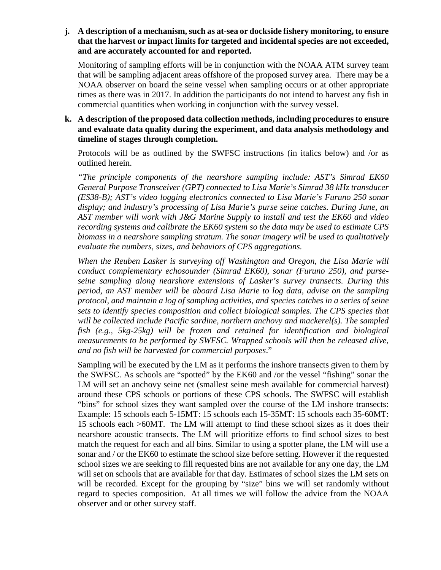## **j. A description of a mechanism, such as at-sea or dockside fishery monitoring, to ensure that the harvest or impact limits for targeted and incidental species are not exceeded, and are accurately accounted for and reported.**

Monitoring of sampling efforts will be in conjunction with the NOAA ATM survey team that will be sampling adjacent areas offshore of the proposed survey area. There may be a NOAA observer on board the seine vessel when sampling occurs or at other appropriate times as there was in 2017. In addition the participants do not intend to harvest any fish in commercial quantities when working in conjunction with the survey vessel.

# **k. A description of the proposed data collection methods, including procedures to ensure and evaluate data quality during the experiment, and data analysis methodology and timeline of stages through completion.**

Protocols will be as outlined by the SWFSC instructions (in italics below) and /or as outlined herein.

*"The principle components of the nearshore sampling include: AST's Simrad EK60 General Purpose Transceiver (GPT) connected to Lisa Marie's Simrad 38 kHz transducer (ES38-B); AST's video logging electronics connected to Lisa Marie's Furuno 250 sonar display; and industry's processing of Lisa Marie's purse seine catches. During June, an AST member will work with J&G Marine Supply to install and test the EK60 and video recording systems and calibrate the EK60 system so the data may be used to estimate CPS biomass in a nearshore sampling stratum. The sonar imagery will be used to qualitatively evaluate the numbers, sizes, and behaviors of CPS aggregations.* 

*When the Reuben Lasker is surveying off Washington and Oregon, the Lisa Marie will conduct complementary echosounder (Simrad EK60), sonar (Furuno 250), and purseseine sampling along nearshore extensions of Lasker's survey transects. During this period, an AST member will be aboard Lisa Marie to log data, advise on the sampling protocol, and maintain a log of sampling activities, and species catches in a series of seine sets to identify species composition and collect biological samples. The CPS species that will be collected include Pacific sardine, northern anchovy and mackerel(s). The sampled fish (e.g., 5kg-25kg) will be frozen and retained for identification and biological measurements to be performed by SWFSC. Wrapped schools will then be released alive, and no fish will be harvested for commercial purposes*."

Sampling will be executed by the LM as it performs the inshore transects given to them by the SWFSC. As schools are "spotted" by the EK60 and /or the vessel "fishing" sonar the LM will set an anchovy seine net (smallest seine mesh available for commercial harvest) around these CPS schools or portions of these CPS schools. The SWFSC will establish "bins" for school sizes they want sampled over the course of the LM inshore transects: Example: 15 schools each 5-15MT: 15 schools each 15-35MT: 15 schools each 35-60MT: 15 schools each >60MT. The LM will attempt to find these school sizes as it does their nearshore acoustic transects. The LM will prioritize efforts to find school sizes to best match the request for each and all bins. Similar to using a spotter plane, the LM will use a sonar and / or the EK60 to estimate the school size before setting. However if the requested school sizes we are seeking to fill requested bins are not available for any one day, the LM will set on schools that are available for that day. Estimates of school sizes the LM sets on will be recorded. Except for the grouping by "size" bins we will set randomly without regard to species composition. At all times we will follow the advice from the NOAA observer and or other survey staff.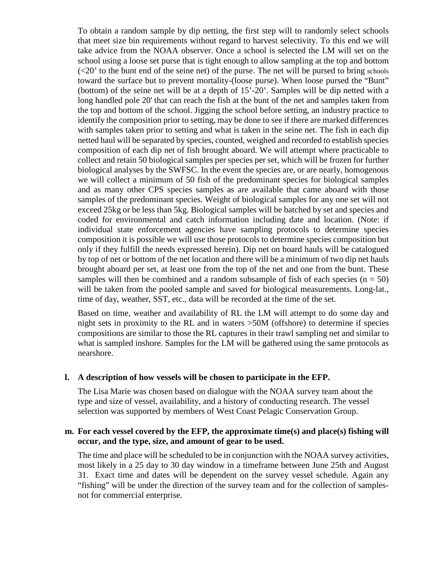To obtain a random sample by dip netting, the first step will to randomly select schools that meet size bin requirements without regard to harvest selectivity. To this end we will take advice from the NOAA observer. Once a school is selected the LM will set on the school using a loose set purse that is tight enough to allow sampling at the top and bottom  $\left($  <20' to the bunt end of the seine net) of the purse. The net will be pursed to bring schools toward the surface but to prevent mortality-(loose purse). When loose pursed the "Bunt" (bottom) of the seine net will be at a depth of 15'-20'. Samples will be dip netted with a long handled pole 20' that can reach the fish at the bunt of the net and samples taken from the top and bottom of the school. Jigging the school before setting, an industry practice to identify the composition prior to setting, may be done to see if there are marked differences with samples taken prior to setting and what is taken in the seine net. The fish in each dip netted haul will be separated by species, counted, weighed and recorded to establish species composition of each dip net of fish brought aboard. We will attempt where practicable to collect and retain 50 biological samples per species per set, which will be frozen for further biological analyses by the SWFSC. In the event the species are, or are nearly, homogenous we will collect a minimum of 50 fish of the predominant species for biological samples and as many other CPS species samples as are available that came aboard with those samples of the predominant species. Weight of biological samples for any one set will not exceed 25kg or be less than 5kg. Biological samples will be batched by set and species and coded for environmental and catch information including date and location. (Note: if individual state enforcement agencies have sampling protocols to determine species composition it is possible we will use those protocols to determine species composition but only if they fulfill the needs expressed herein). Dip net on board hauls will be catalogued by top of net or bottom of the net location and there will be a minimum of two dip net hauls brought aboard per set, at least one from the top of the net and one from the bunt. These samples will then be combined and a random subsample of fish of each species  $(n = 50)$ will be taken from the pooled sample and saved for biological measurements. Long-lat., time of day, weather, SST, etc., data will be recorded at the time of the set.

Based on time, weather and availability of RL the LM will attempt to do some day and night sets in proximity to the RL and in waters >50M (offshore) to determine if species compositions are similar to those the RL captures in their trawl sampling net and similar to what is sampled inshore. Samples for the LM will be gathered using the same protocols as nearshore.

### **l. A description of how vessels will be chosen to participate in the EFP.**

The Lisa Marie was chosen based on dialogue with the NOAA survey team about the type and size of vessel, availability, and a history of conducting research. The vessel selection was supported by members of West Coast Pelagic Conservation Group.

### **m. For each vessel covered by the EFP, the approximate time(s) and place(s) fishing will occur, and the type, size, and amount of gear to be used.**

The time and place will be scheduled to be in conjunction with the NOAA survey activities, most likely in a 25 day to 30 day window in a timeframe between June 25th and August 31. Exact time and dates will be dependent on the survey vessel schedule. Again any "fishing" will be under the direction of the survey team and for the collection of samplesnot for commercial enterprise.